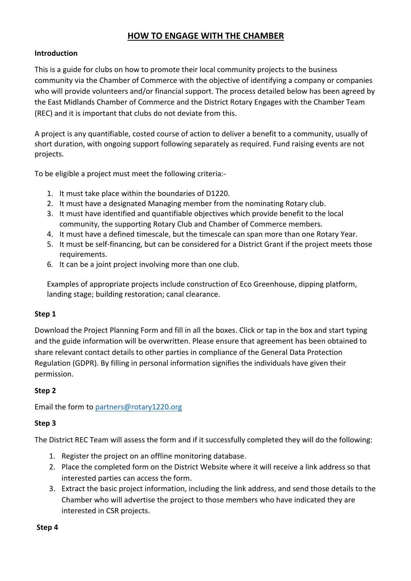# **HOW TO ENGAGE WITH THE CHAMBER**

### **Introduction**

This is a guide for clubs on how to promote their local community projects to the business community via the Chamber of Commerce with the objective of identifying a company or companies who will provide volunteers and/or financial support. The process detailed below has been agreed by the East Midlands Chamber of Commerce and the District Rotary Engages with the Chamber Team (REC) and it is important that clubs do not deviate from this.

A project is any quantifiable, costed course of action to deliver a benefit to a community, usually of short duration, with ongoing support following separately as required. Fund raising events are not projects.

To be eligible a project must meet the following criteria:-

- 1. It must take place within the boundaries of D1220.
- 2. It must have a designated Managing member from the nominating Rotary club.
- 3. It must have identified and quantifiable objectives which provide benefit to the local community, the supporting Rotary Club and Chamber of Commerce members.
- 4. It must have a defined timescale, but the timescale can span more than one Rotary Year.
- 5. It must be self-financing, but can be considered for a District Grant if the project meets those requirements.
- 6. It can be a joint project involving more than one club.

Examples of appropriate projects include construction of Eco Greenhouse, dipping platform, landing stage; building restoration; canal clearance.

#### **Step 1**

Download the Project Planning Form and fill in all the boxes. Click or tap in the box and start typing and the guide information will be overwritten. Please ensure that agreement has been obtained to share relevant contact details to other parties in compliance of the General Data Protection Regulation (GDPR). By filling in personal information signifies the individuals have given their permission. 

#### **Step 2**

Email the form to partners@rotary1220.org

## **Step 3**

The District REC Team will assess the form and if it successfully completed they will do the following:

- 1. Register the project on an offline monitoring database.
- 2. Place the completed form on the District Website where it will receive a link address so that interested parties can access the form.
- 3. Extract the basic project information, including the link address, and send those details to the Chamber who will advertise the project to those members who have indicated they are interested in CSR projects.

#### **Step 4**